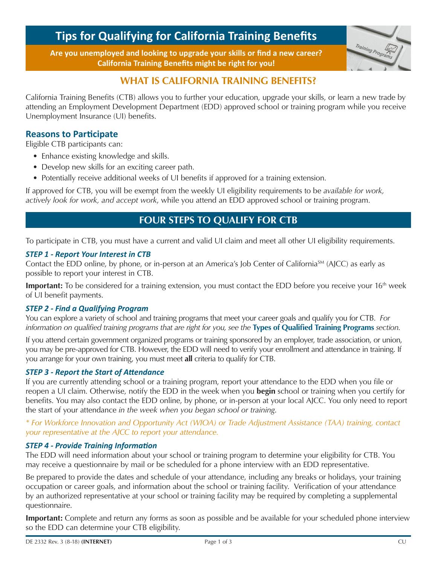# **Tips for Qualifying for California Training Benefits**

**Are you unemployed and looking to upgrade your skills or find a new career? California Training Benefits might be right for you!**



# **WHAT IS CALIFORNIA TRAINING BENEFITS?**

California Training Benefits (CTB) allows you to further your education, upgrade your skills, or learn a new trade by attending an Employment Development Department (EDD) approved school or training program while you receive Unemployment Insurance (UI) benefits.

# **Reasons to Participate**

Eligible CTB participants can:

- Enhance existing knowledge and skills.
- Develop new skills for an exciting career path.
- Potentially receive additional weeks of UI benefits if approved for a training extension.

If approved for CTB, you will be exempt from the weekly UI eligibility requirements to be *available for work, actively look for work, and accept work*, while you attend an EDD approved school or training program.

# **FOUR STEPS TO QUALIFY FOR CTB**

To participate in CTB, you must have a current and valid UI claim and meet all other UI eligibility requirements.

#### *STEP 1 - Report Your Interest in CTB*

Contact the EDD online, by phone, or in-person at an America's Job Center of California<sup>SM</sup> (AJCC) as early as possible to report your interest in CTB.

**Important:** To be considered for a training extension, you must contact the EDD before you receive your 16<sup>th</sup> week of UI benefit payments.

#### *STEP 2 - Find a Qualifying Program*

You can explore a variety of school and training programs that meet your career goals and qualify you for CTB. *For information on qualified training programs that are right for you, see the* **Types of Qualified Training Programs** *section*.

If you attend certain government organized programs or training sponsored by an employer, trade association, or union, you may be pre-approved for CTB. However, the EDD will need to verify your enrollment and attendance in training. If you arrange for your own training, you must meet **all** criteria to qualify for CTB.

#### *STEP 3 - Report the Start of Attendance*

If you are currently attending school or a training program, report your attendance to the EDD when you file or reopen a UI claim. Otherwise, notify the EDD in the week when you **begin** school or training when you certify for benefits. You may also contact the EDD online, by phone, or in-person at your local AJCC. You only need to report the start of your attendance *in the week when you began school or training*.

#### *\* For Workforce Innovation and Opportunity Act (WIOA) or Trade Adjustment Assistance (TAA) training, contact your representative at the AJCC to report your attendance.*

#### *STEP 4 - Provide Training Information*

The EDD will need information about your school or training program to determine your eligibility for CTB. You may receive a questionnaire by mail or be scheduled for a phone interview with an EDD representative.

Be prepared to provide the dates and schedule of your attendance, including any breaks or holidays, your training occupation or career goals, and information about the school or training facility. Verification of your attendance by an authorized representative at your school or training facility may be required by completing a supplemental questionnaire.

**Important:** Complete and return any forms as soon as possible and be available for your scheduled phone interview so the EDD can determine your CTB eligibility.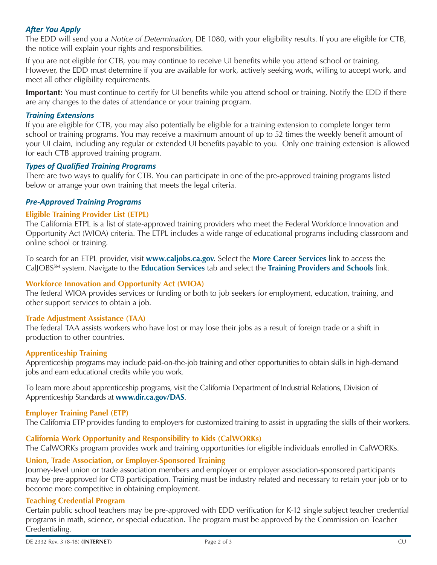### *After You Apply*

The EDD will send you a *Notice of Determination*, DE 1080, with your eligibility results. If you are eligible for CTB, the notice will explain your rights and responsibilities.

If you are not eligible for CTB, you may continue to receive UI benefits while you attend school or training. However, the EDD must determine if you are available for work, actively seeking work, willing to accept work, and meet all other eligibility requirements.

**Important:** You must continue to certify for UI benefits while you attend school or training. Notify the EDD if there are any changes to the dates of attendance or your training program.

#### *Training Extensions*

If you are eligible for CTB, you may also potentially be eligible for a training extension to complete longer term school or training programs. You may receive a maximum amount of up to 52 times the weekly benefit amount of your UI claim, including any regular or extended UI benefits payable to you. Only one training extension is allowed for each CTB approved training program.

#### *Types of Qualified Training Programs*

There are two ways to qualify for CTB. You can participate in one of the pre-approved training programs listed below or arrange your own training that meets the legal criteria.

#### *Pre-Approved Training Programs*

#### **Eligible Training Provider List (ETPL)**

The California ETPL is a list of state-approved training providers who meet the Federal Workforce Innovation and Opportunity Act (WIOA) criteria. The ETPL includes a wide range of educational programs including classroom and online school or training.

To search for an ETPL provider, visit **www.caljobs.ca.gov**. Select the **More Career Services** link to access the CalJOBSSM system. Navigate to the **Education Services** tab and select the **Training Providers and Schools** link.

#### **Workforce Innovation and Opportunity Act (WIOA)**

The federal WIOA provides services or funding or both to job seekers for employment, education, training, and other support services to obtain a job.

#### **Trade Adjustment Assistance (TAA)**

The federal TAA assists workers who have lost or may lose their jobs as a result of foreign trade or a shift in production to other countries.

#### **Apprenticeship Training**

Apprenticeship programs may include paid-on-the-job training and other opportunities to obtain skills in high-demand jobs and earn educational credits while you work.

To learn more about apprenticeship programs, visit the California Department of Industrial Relations, Division of Apprenticeship Standards at **www.dir.ca.gov/DAS**.

#### **Employer Training Panel (ETP)**

The California ETP provides funding to employers for customized training to assist in upgrading the skills of their workers.

#### **California Work Opportunity and Responsibility to Kids (CalWORKs)**

The CalWORKs program provides work and training opportunities for eligible individuals enrolled in CalWORKs.

#### **Union, Trade Association, or Employer-Sponsored Training**

Journey-level union or trade association members and employer or employer association-sponsored participants may be pre-approved for CTB participation. Training must be industry related and necessary to retain your job or to become more competitive in obtaining employment.

#### **Teaching Credential Program**

Certain public school teachers may be pre-approved with EDD verification for K-12 single subject teacher credential programs in math, science, or special education. The program must be approved by the Commission on Teacher Credentialing.